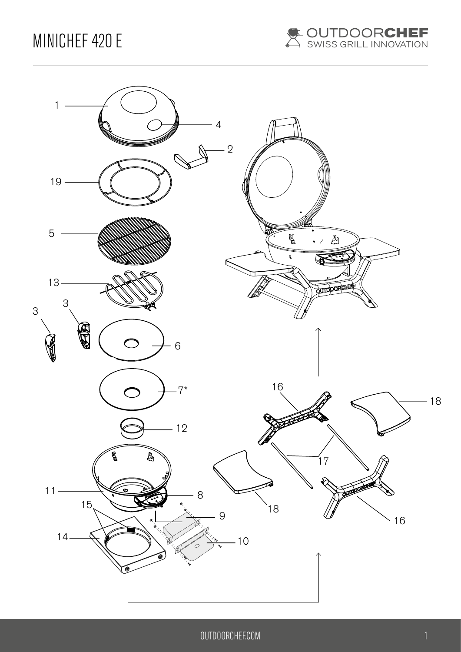

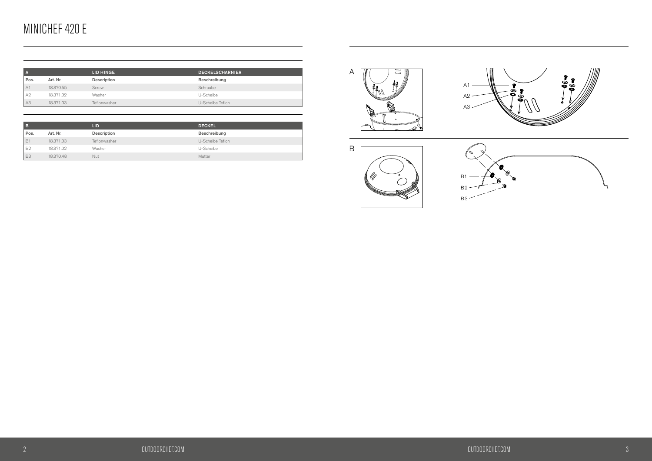| ∣ B       |           | LID                 | <b>DECKEL</b>    |
|-----------|-----------|---------------------|------------------|
| Pos.      | Art. Nr.  | Description         | Beschreibung     |
| B1        | 18,371,03 | <b>Teflonwasher</b> | U-Scheibe Teflon |
| <b>B2</b> | 18.371.02 | Washer              | U-Scheibe        |
| <b>B3</b> | 18,370,48 | <b>Nut</b>          | Mutter           |







| A              |           | LID HINGE           | <b>DECKELSCHARNIER</b> |
|----------------|-----------|---------------------|------------------------|
| Pos.           | Art. Nr.  | Description         | Beschreibung           |
| A <sub>1</sub> | 18,370,55 | Screw               | Schraube               |
| A <sub>2</sub> | 18,371,02 | Washer              | U-Scheibe              |
| A3             | 18,371,03 | <b>Teflonwasher</b> | U-Scheibe Teflon       |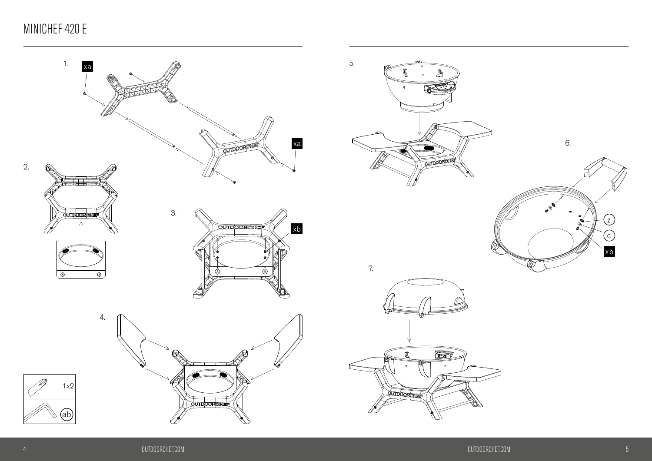

OUTDOORGELE



6.

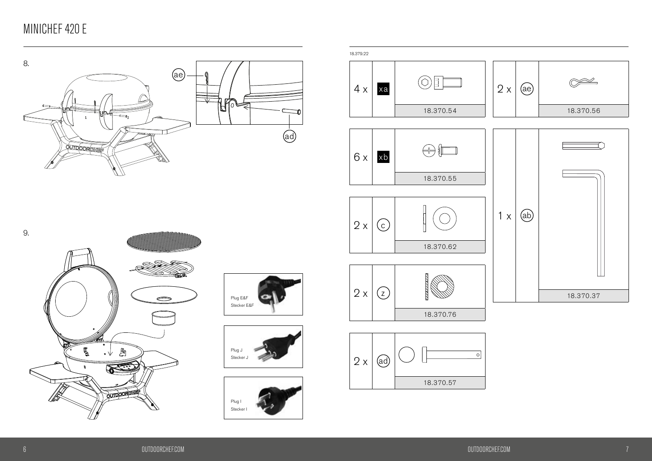